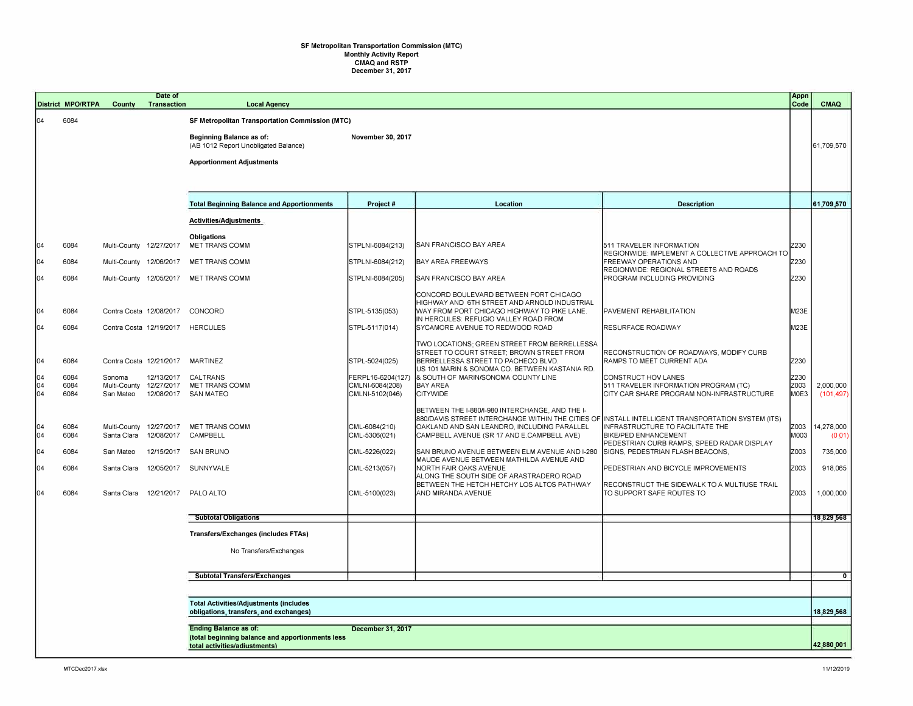## **SF Metropolitan Transportation Commission (MTC) Monthly Activity Report CMAQ and RSTP December 31, 2017**

|                  |                                                   | <b>District MPO/RTPA</b>                                                                | <b>County</b>               | Date of<br><b>Transaction</b>   | <b>Local Agency</b>                                                               |                                                         |                                                                                                                                                                                                                                                   |                                                                                                           | Appn<br>Code         | <b>CMAQ</b>             |
|------------------|---------------------------------------------------|-----------------------------------------------------------------------------------------|-----------------------------|---------------------------------|-----------------------------------------------------------------------------------|---------------------------------------------------------|---------------------------------------------------------------------------------------------------------------------------------------------------------------------------------------------------------------------------------------------------|-----------------------------------------------------------------------------------------------------------|----------------------|-------------------------|
| 04               |                                                   | 6084                                                                                    |                             |                                 | <b>SF Metropolitan Transportation Commission (MTC)</b>                            |                                                         |                                                                                                                                                                                                                                                   |                                                                                                           |                      |                         |
|                  |                                                   |                                                                                         |                             |                                 | <b>Beginning Balance as of:</b><br>(AB 1012 Report Unobligated Balance)           | November 30, 2017                                       |                                                                                                                                                                                                                                                   |                                                                                                           |                      | 61,709,570              |
|                  |                                                   |                                                                                         |                             |                                 | <b>Apportionment Adjustments</b>                                                  |                                                         |                                                                                                                                                                                                                                                   |                                                                                                           |                      |                         |
|                  |                                                   |                                                                                         |                             |                                 |                                                                                   |                                                         |                                                                                                                                                                                                                                                   |                                                                                                           |                      |                         |
|                  |                                                   |                                                                                         |                             |                                 | <b>Total Beginning Balance and Apportionments</b>                                 | Project#                                                | Location                                                                                                                                                                                                                                          | <b>Description</b>                                                                                        |                      | 61,709,570              |
|                  |                                                   |                                                                                         |                             |                                 | Activities/Adjustments                                                            |                                                         |                                                                                                                                                                                                                                                   |                                                                                                           |                      |                         |
| 04               |                                                   | 6084                                                                                    | Multi-County 12/27/2017     |                                 | Obligations<br>MET TRANS COMM                                                     | STPLNI-6084(213)                                        | SAN FRANCISCO BAY AREA                                                                                                                                                                                                                            | 511 TRAVELER INFORMATION<br>REGIONWIDE: IMPLEMENT A COLLECTIVE APPROACH TO                                | Z230                 |                         |
| 104              |                                                   | 6084                                                                                    | Multi-County                | 12/06/2017                      | <b>MET TRANS COMM</b>                                                             | STPLNI-6084(212)                                        | <b>BAY AREA FREEWAYS</b>                                                                                                                                                                                                                          | <b>FREEWAY OPERATIONS AND</b><br>REGIONWIDE: REGIONAL STREETS AND ROADS                                   | Z230                 |                         |
| 104              |                                                   | 6084                                                                                    |                             |                                 | Multi-County 12/05/2017 MET TRANS COMM                                            | STPLNI-6084(205)                                        | SAN FRANCISCO BAY AREA                                                                                                                                                                                                                            | PROGRAM INCLUDING PROVIDING                                                                               | Z230                 |                         |
| 104              |                                                   | 6084                                                                                    |                             | Contra Costa 12/08/2017 CONCORD |                                                                                   | STPL-5135(053)                                          | CONCORD BOULEVARD BETWEEN PORT CHICAGO<br>HIGHWAY AND 6TH STREET AND ARNOLD INDUSTRIAL<br>WAY FROM PORT CHICAGO HIGHWAY TO PIKE LANE.                                                                                                             | PAVEMENT REHABILITATION                                                                                   | M23E                 |                         |
| 04               |                                                   | 6084                                                                                    |                             |                                 | Contra Costa 12/19/2017 HERCULES                                                  | STPL-5117(014)                                          | IN HERCULES: REFUGIO VALLEY ROAD FROM<br>SYCAMORE AVENUE TO REDWOOD ROAD                                                                                                                                                                          | <b>RESURFACE ROADWAY</b>                                                                                  | M23E                 |                         |
| 104              |                                                   | 6084                                                                                    |                             | Contra Costa 12/21/2017         | <b>MARTINEZ</b>                                                                   | STPL-5024(025)                                          | TWO LOCATIONS: GREEN STREET FROM BERRELLESSA<br>STREET TO COURT STREET; BROWN STREET FROM<br>BERRELLESSA STREET TO PACHECO BLVD<br>US 101 MARIN & SONOMA CO. BETWEEN KASTANIA RD.                                                                 | RECONSTRUCTION OF ROADWAYS, MODIFY CURB<br>RAMPS TO MEET CURRENT ADA                                      | Z230                 |                         |
| 04<br>104<br>104 |                                                   | 6084<br>6084<br>6084                                                                    | Sonoma<br>San Mateo         | 12/13/2017                      | CALTRANS<br>Multi-County 12/27/2017 MET TRANS COMM<br>12/08/2017 SAN MATEO        | FERPL16-6204(127)<br>CMLNI-6084(208)<br>CMLNI-5102(046) | & SOUTH OF MARIN/SONOMA COUNTY LINE<br><b>BAY AREA</b><br><b>CITYWIDE</b>                                                                                                                                                                         | CONSTRUCT HOV LANES<br>511 TRAVELER INFORMATION PROGRAM (TC)<br>CITY CAR SHARE PROGRAM NON-INFRASTRUCTURE | Z230<br>Z003<br>M0E3 | 2,000,000<br>(101, 497) |
| 04<br>104        |                                                   | 6084<br>6084                                                                            | Multi-County<br>Santa Clara | 12/08/2017                      | 12/27/2017 MET TRANS COMM<br>CAMPBELL                                             | CML-6084(210)<br>CML-5306(021)                          | BETWEEN THE I-880/I-980 INTERCHANGE, AND THE I-<br>880/DAVIS STREET INTERCHANGE WITHIN THE CITIES OF INSTALL INTELLIGENT TRANSPORTATION SYSTEM (ITS)<br>OAKLAND AND SAN LEANDRO, INCLUDING PARALLEL<br>CAMPBELL AVENUE (SR 17 AND E.CAMPBELL AVE) | INFRASTRUCTURE TO FACILITATE THE<br><b>BIKE/PED ENHANCEMENT</b>                                           | Z003<br>M003         | 14,278,000<br>(0.01)    |
| $\bigcap$        |                                                   | 6084                                                                                    | San Mateo                   | 12/15/2017                      | <b>SAN BRUNO</b>                                                                  | CML-5226(022)                                           | SAN BRUNO AVENUE BETWEEN ELM AVENUE AND I-280                                                                                                                                                                                                     | PEDESTRIAN CURB RAMPS, SPEED RADAR DISPLAY<br>SIGNS, PEDESTRIAN FLASH BEACONS,                            | Z003                 | 735,000                 |
| 04               |                                                   | 6084                                                                                    | Santa Clara                 |                                 | 12/05/2017 SUNNYVALE                                                              | CML-5213(057)                                           | MAUDE AVENUE BETWEEN MATHILDA AVENUE AND<br>NORTH FAIR OAKS AVENUE<br>ALONG THE SOUTH SIDE OF ARASTRADERO ROAD                                                                                                                                    | PEDESTRIAN AND BICYCLE IMPROVEMENTS                                                                       | Z003                 | 918,065                 |
| 104              |                                                   | 6084                                                                                    |                             |                                 | Santa Clara 12/21/2017 PALO ALTO                                                  | CML-5100(023)                                           | BETWEEN THE HETCH HETCHY LOS ALTOS PATHWAY<br>AND MIRANDA AVENUE                                                                                                                                                                                  | RECONSTRUCT THE SIDEWALK TO A MULTIUSE TRAIL<br>TO SUPPORT SAFE ROUTES TO                                 | Z003                 | 1,000,000               |
|                  |                                                   |                                                                                         |                             |                                 | <b>Subtotal Obligations</b>                                                       |                                                         |                                                                                                                                                                                                                                                   |                                                                                                           |                      | 18,829,568              |
|                  |                                                   |                                                                                         |                             |                                 | <b>Transfers/Exchanges (includes FTAs)</b>                                        |                                                         |                                                                                                                                                                                                                                                   |                                                                                                           |                      |                         |
|                  |                                                   |                                                                                         |                             |                                 | No Transfers/Exchanges                                                            |                                                         |                                                                                                                                                                                                                                                   |                                                                                                           |                      |                         |
|                  |                                                   |                                                                                         |                             |                                 | <b>Subtotal Transfers/Exchanges</b>                                               |                                                         |                                                                                                                                                                                                                                                   |                                                                                                           |                      | $\mathbf{0}$            |
|                  |                                                   |                                                                                         |                             |                                 |                                                                                   |                                                         |                                                                                                                                                                                                                                                   |                                                                                                           |                      |                         |
|                  |                                                   | <b>Total Activities/Adjustments (includes</b><br>obligations, transfers, and exchanges) |                             |                                 |                                                                                   |                                                         |                                                                                                                                                                                                                                                   |                                                                                                           |                      | 18,829,568              |
|                  | December 31, 2017<br><b>Ending Balance as of:</b> |                                                                                         |                             |                                 |                                                                                   |                                                         |                                                                                                                                                                                                                                                   |                                                                                                           |                      |                         |
|                  |                                                   |                                                                                         |                             |                                 | (total beginning balance and apportionments less<br>total activities/adiustments) |                                                         |                                                                                                                                                                                                                                                   |                                                                                                           |                      | 42,880,001              |